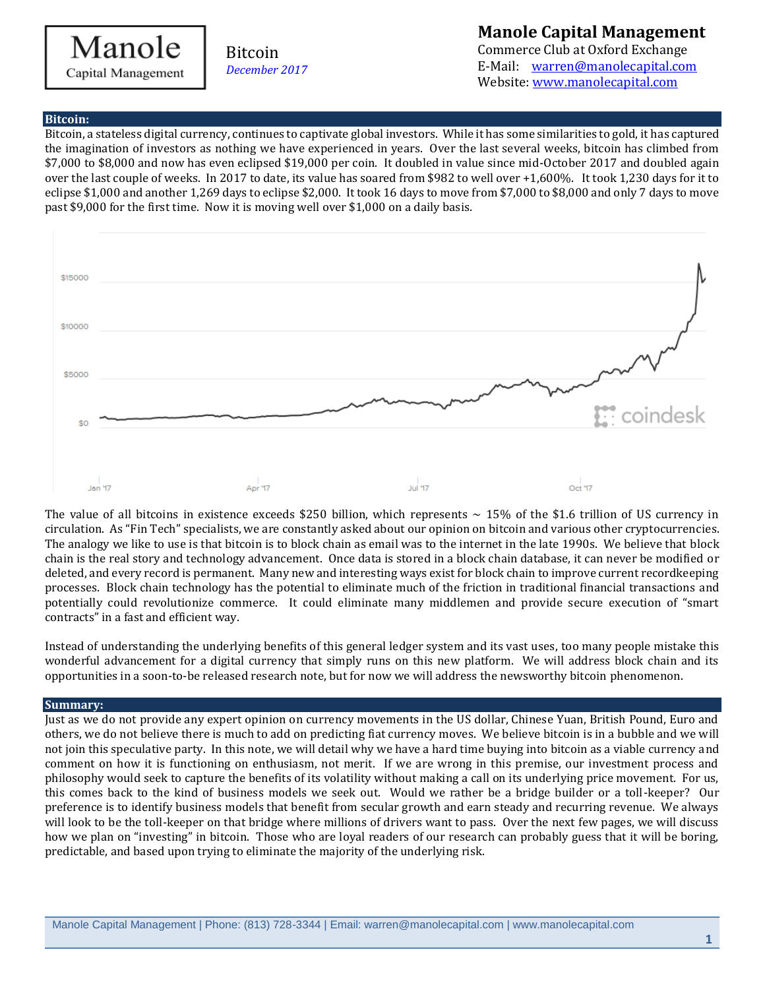# Manole Capital Management

## Bitcoin *December 2017*

## **Manole Capital Management**

Commerce Club at Oxford Exchange E-Mail: [warren@manolecapital.com](mailto:warren@manolecapital.com) Website[: www.manolecapital.com](http://www.manolecapital.com/) 

#### **Bitcoin:**

Bitcoin, a stateless digital currency, continues to captivate global investors. While it has some similarities to gold, it has captured the imagination of investors as nothing we have experienced in years. Over the last several weeks, bitcoin has climbed from \$7,000 to \$8,000 and now has even eclipsed \$19,000 per coin. It doubled in value since mid-October 2017 and doubled again over the last couple of weeks. In 2017 to date, its value has soared from \$982 to well over +1,600%. It took 1,230 days for it to eclipse \$1,000 and another 1,269 days to eclipse \$2,000. It took 16 days to move from \$7,000 to \$8,000 and only 7 days to move past \$9,000 for the first time. Now it is moving well over \$1,000 on a daily basis.



The value of all bitcoins in existence exceeds \$250 billion, which represents  $\sim 15\%$  of the \$1.6 trillion of US currency in circulation. As "Fin Tech" specialists, we are constantly asked about our opinion on bitcoin and various other cryptocurrencies. The analogy we like to use is that bitcoin is to block chain as email was to the internet in the late 1990s. We believe that block chain is the real story and technology advancement. Once data is stored in a block chain database, it can never be modified or deleted, and every record is permanent. Many new and interesting ways exist for block chain to improve current recordkeeping processes. Block chain technology has the potential to eliminate much of the friction in traditional financial transactions and potentially could revolutionize commerce. It could eliminate many middlemen and provide secure execution of "smart contracts" in a fast and efficient way.

Instead of understanding the underlying benefits of this general ledger system and its vast uses, too many people mistake this wonderful advancement for a digital currency that simply runs on this new platform. We will address block chain and its opportunities in a soon-to-be released research note, but for now we will address the newsworthy bitcoin phenomenon.

#### **Summary:**

Just as we do not provide any expert opinion on currency movements in the US dollar, Chinese Yuan, British Pound, Euro and others, we do not believe there is much to add on predicting fiat currency moves. We believe bitcoin is in a bubble and we will not join this speculative party. In this note, we will detail why we have a hard time buying into bitcoin as a viable currency and comment on how it is functioning on enthusiasm, not merit. If we are wrong in this premise, our investment process and philosophy would seek to capture the benefits of its volatility without making a call on its underlying price movement. For us, this comes back to the kind of business models we seek out. Would we rather be a bridge builder or a toll-keeper? Our preference is to identify business models that benefit from secular growth and earn steady and recurring revenue. We always will look to be the toll-keeper on that bridge where millions of drivers want to pass. Over the next few pages, we will discuss how we plan on "investing" in bitcoin. Those who are loyal readers of our research can probably guess that it will be boring, predictable, and based upon trying to eliminate the majority of the underlying risk.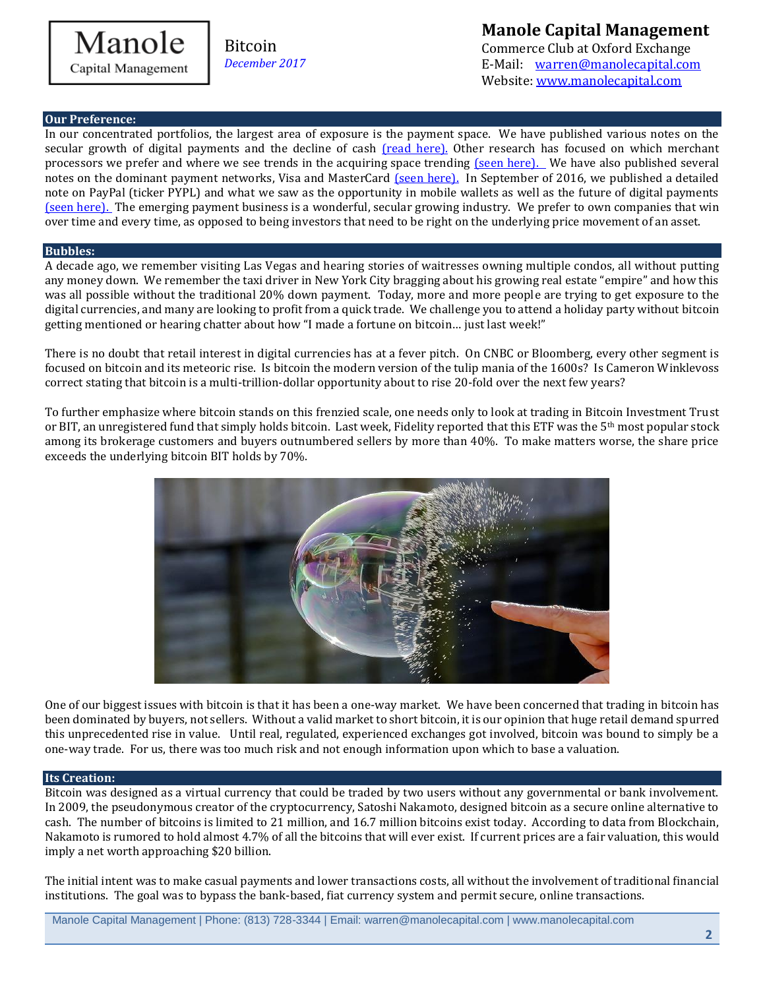

## **Manole Capital Management**

Commerce Club at Oxford Exchange E-Mail: [warren@manolecapital.com](mailto:warren@manolecapital.com) Website[: www.manolecapital.com](http://www.manolecapital.com/) 

#### **Our Preference:**

In our concentrated portfolios, the largest area of exposure is the payment space. We have published various notes on the secular growth of digital payments and the decline of cash [\(read here\).](https://docs.wixstatic.com/ugd/43315f_0dd37796a6584165b7be3af3f9e28a76.pdf) Other research has focused on which merchant processors we prefer and where we see trends in the acquiring space trending [\(seen here\).](https://docs.wixstatic.com/ugd/43315f_f7171a55dc4e4ab2aaae105f99c5adbb.pdf) We have also published several notes on the dominant payment networks, Visa and MasterCard [\(seen here\).](https://docs.wixstatic.com/ugd/43315f_c824275fe2904074805cf591ea2d41a3.pdf) In September of 2016, we published a detailed note on PayPal (ticker PYPL) and what we saw as the opportunity in mobile wallets as well as the future of digital payments [\(seen here\).](https://docs.wixstatic.com/ugd/43315f_2d5dc3c3cadd40dbaae6031e3678dc7f.pdf) The emerging payment business is a wonderful, secular growing industry. We prefer to own companies that win over time and every time, as opposed to being investors that need to be right on the underlying price movement of an asset.

#### **Bubbles:**

A decade ago, we remember visiting Las Vegas and hearing stories of waitresses owning multiple condos, all without putting any money down. We remember the taxi driver in New York City bragging about his growing real estate "empire" and how this was all possible without the traditional 20% down payment. Today, more and more people are trying to get exposure to the digital currencies, and many are looking to profit from a quick trade. We challenge you to attend a holiday party without bitcoin getting mentioned or hearing chatter about how "I made a fortune on bitcoin… just last week!"

There is no doubt that retail interest in digital currencies has at a fever pitch. On CNBC or Bloomberg, every other segment is focused on bitcoin and its meteoric rise. Is bitcoin the modern version of the tulip mania of the 1600s? Is Cameron Winklevoss correct stating that bitcoin is a multi-trillion-dollar opportunity about to rise 20-fold over the next few years?

To further emphasize where bitcoin stands on this frenzied scale, one needs only to look at trading in Bitcoin Investment Trust or BIT, an unregistered fund that simply holds bitcoin. Last week, Fidelity reported that this ETF was the 5<sup>th</sup> most popular stock among its brokerage customers and buyers outnumbered sellers by more than 40%. To make matters worse, the share price exceeds the underlying bitcoin BIT holds by 70%.



One of our biggest issues with bitcoin is that it has been a one-way market. We have been concerned that trading in bitcoin has been dominated by buyers, not sellers. Without a valid market to short bitcoin, it is our opinion that huge retail demand spurred this unprecedented rise in value. Until real, regulated, experienced exchanges got involved, bitcoin was bound to simply be a one-way trade. For us, there was too much risk and not enough information upon which to base a valuation.

#### **Its Creation:**

Bitcoin was designed as a virtual currency that could be traded by two users without any governmental or bank involvement. In 2009, the pseudonymous creator of the cryptocurrency, Satoshi Nakamoto, designed bitcoin as a secure online alternative to cash. The number of bitcoins is limited to 21 million, and 16.7 million bitcoins exist today. According to data from Blockchain, Nakamoto is rumored to hold almost 4.7% of all the bitcoins that will ever exist. If current prices are a fair valuation, this would imply a net worth approaching \$20 billion.

The initial intent was to make casual payments and lower transactions costs, all without the involvement of traditional financial institutions. The goal was to bypass the bank-based, fiat currency system and permit secure, online transactions.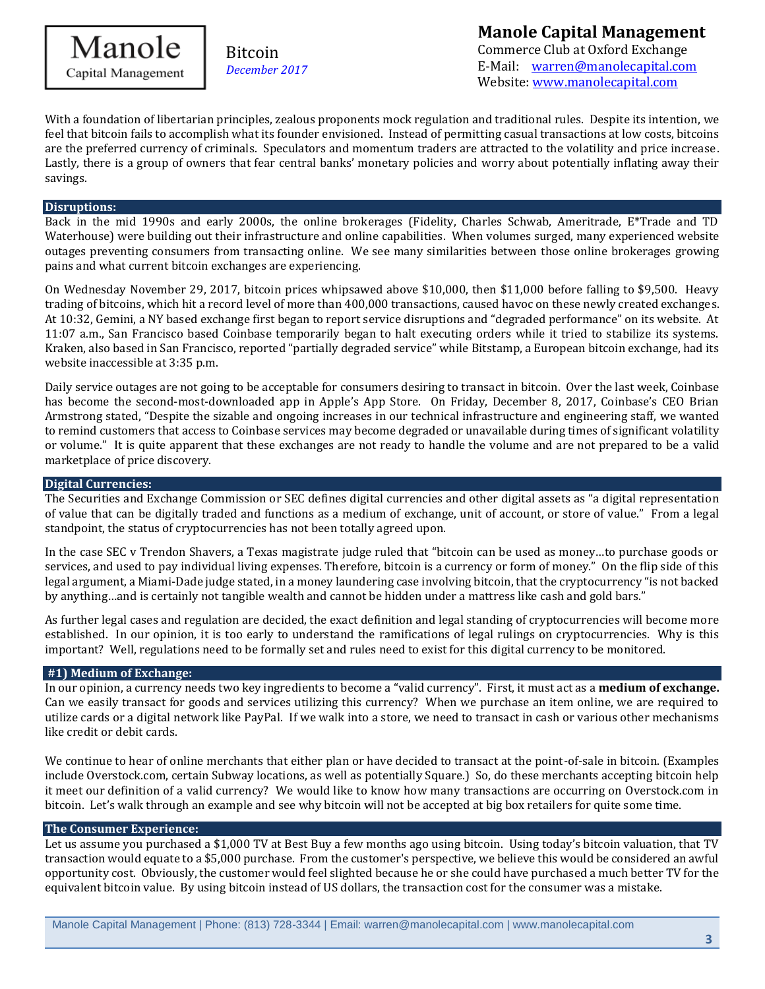Manole Capital Management

Bitcoin *December 2017*

# **Manole Capital Management**

Commerce Club at Oxford Exchange E-Mail: [warren@manolecapital.com](mailto:warren@manolecapital.com) Website[: www.manolecapital.com](http://www.manolecapital.com/) 

With a foundation of libertarian principles, zealous proponents mock regulation and traditional rules. Despite its intention, we feel that bitcoin fails to accomplish what its founder envisioned. Instead of permitting casual transactions at low costs, bitcoins are the preferred currency of criminals. Speculators and momentum traders are attracted to the volatility and price increase. Lastly, there is a group of owners that fear central banks' monetary policies and worry about potentially inflating away their savings.

#### **Disruptions:**

Back in the mid 1990s and early 2000s, the online brokerages (Fidelity, Charles Schwab, Ameritrade, E\*Trade and TD Waterhouse) were building out their infrastructure and online capabilities. When volumes surged, many experienced website outages preventing consumers from transacting online. We see many similarities between those online brokerages growing pains and what current bitcoin exchanges are experiencing.

On Wednesday November 29, 2017, bitcoin prices whipsawed above \$10,000, then \$11,000 before falling to \$9,500. Heavy trading of bitcoins, which hit a record level of more than 400,000 transactions, caused havoc on these newly created exchanges. At 10:32, Gemini, a NY based exchange first began to report service disruptions and "degraded performance" on its website. At 11:07 a.m., San Francisco based Coinbase temporarily began to halt executing orders while it tried to stabilize its systems. Kraken, also based in San Francisco, reported "partially degraded service" while Bitstamp, a European bitcoin exchange, had its website inaccessible at 3:35 p.m.

Daily service outages are not going to be acceptable for consumers desiring to transact in bitcoin. Over the last week, Coinbase has become the second-most-downloaded app in Apple's App Store. On Friday, December 8, 2017, Coinbase's CEO Brian Armstrong stated, "Despite the sizable and ongoing increases in our technical infrastructure and engineering staff, we wanted to remind customers that access to Coinbase services may become degraded or unavailable during times of significant volatility or volume." It is quite apparent that these exchanges are not ready to handle the volume and are not prepared to be a valid marketplace of price discovery.

#### **Digital Currencies:**

The Securities and Exchange Commission or SEC defines digital currencies and other digital assets as "a digital representation of value that can be digitally traded and functions as a medium of exchange, unit of account, or store of value." From a legal standpoint, the status of cryptocurrencies has not been totally agreed upon.

In the case SEC v Trendon Shavers, a Texas magistrate judge ruled that "bitcoin can be used as money…to purchase goods or services, and used to pay individual living expenses. Therefore, bitcoin is a currency or form of money." On the flip side of this legal argument, a Miami-Dade judge stated, in a money laundering case involving bitcoin, that the cryptocurrency "is not backed by anything…and is certainly not tangible wealth and cannot be hidden under a mattress like cash and gold bars."

As further legal cases and regulation are decided, the exact definition and legal standing of cryptocurrencies will become more established. In our opinion, it is too early to understand the ramifications of legal rulings on cryptocurrencies. Why is this important? Well, regulations need to be formally set and rules need to exist for this digital currency to be monitored.

#### **#1) Medium of Exchange:**

In our opinion, a currency needs two key ingredients to become a "valid currency". First, it must act as a **medium of exchange.** Can we easily transact for goods and services utilizing this currency? When we purchase an item online, we are required to utilize cards or a digital network like PayPal. If we walk into a store, we need to transact in cash or various other mechanisms like credit or debit cards.

We continue to hear of online merchants that either plan or have decided to transact at the point-of-sale in bitcoin. (Examples include Overstock.com, certain Subway locations, as well as potentially Square.) So, do these merchants accepting bitcoin help it meet our definition of a valid currency? We would like to know how many transactions are occurring on Overstock.com in bitcoin. Let's walk through an example and see why bitcoin will not be accepted at big box retailers for quite some time.

#### **The Consumer Experience:**

Let us assume you purchased a \$1,000 TV at Best Buy a few months ago using bitcoin. Using today's bitcoin valuation, that TV transaction would equate to a \$5,000 purchase. From the customer's perspective, we believe this would be considered an awful opportunity cost. Obviously, the customer would feel slighted because he or she could have purchased a much better TV for the equivalent bitcoin value. By using bitcoin instead of US dollars, the transaction cost for the consumer was a mistake.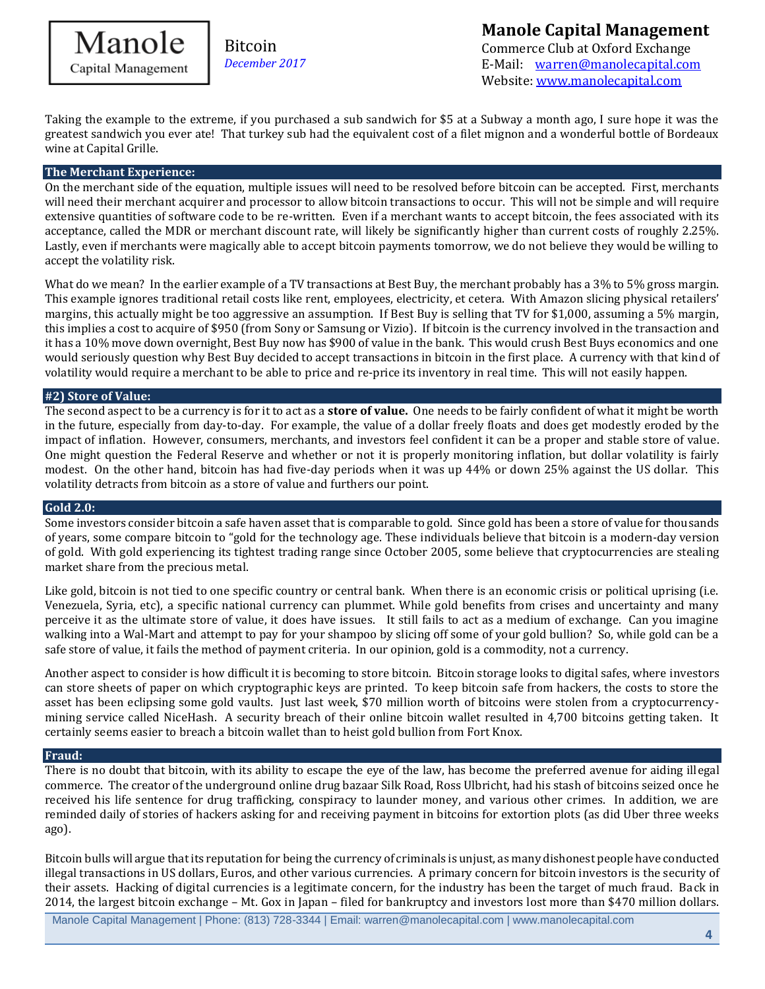

# **Manole Capital Management**

Commerce Club at Oxford Exchange E-Mail: [warren@manolecapital.com](mailto:warren@manolecapital.com) Website[: www.manolecapital.com](http://www.manolecapital.com/) 

Taking the example to the extreme, if you purchased a sub sandwich for \$5 at a Subway a month ago, I sure hope it was the greatest sandwich you ever ate! That turkey sub had the equivalent cost of a filet mignon and a wonderful bottle of Bordeaux wine at Capital Grille.

### **The Merchant Experience:**

On the merchant side of the equation, multiple issues will need to be resolved before bitcoin can be accepted. First, merchants will need their merchant acquirer and processor to allow bitcoin transactions to occur. This will not be simple and will require extensive quantities of software code to be re-written. Even if a merchant wants to accept bitcoin, the fees associated with its acceptance, called the MDR or merchant discount rate, will likely be significantly higher than current costs of roughly 2.25%. Lastly, even if merchants were magically able to accept bitcoin payments tomorrow, we do not believe they would be willing to accept the volatility risk.

What do we mean? In the earlier example of a TV transactions at Best Buy, the merchant probably has a 3% to 5% gross margin. This example ignores traditional retail costs like rent, employees, electricity, et cetera. With Amazon slicing physical retailers' margins, this actually might be too aggressive an assumption. If Best Buy is selling that TV for \$1,000, assuming a 5% margin, this implies a cost to acquire of \$950 (from Sony or Samsung or Vizio). If bitcoin is the currency involved in the transaction and it has a 10% move down overnight, Best Buy now has \$900 of value in the bank. This would crush Best Buys economics and one would seriously question why Best Buy decided to accept transactions in bitcoin in the first place. A currency with that kind of volatility would require a merchant to be able to price and re-price its inventory in real time. This will not easily happen.

#### **#2) Store of Value:**

The second aspect to be a currency is for it to act as a **store of value.** One needs to be fairly confident of what it might be worth in the future, especially from day-to-day. For example, the value of a dollar freely floats and does get modestly eroded by the impact of inflation. However, consumers, merchants, and investors feel confident it can be a proper and stable store of value. One might question the Federal Reserve and whether or not it is properly monitoring inflation, but dollar volatility is fairly modest. On the other hand, bitcoin has had five-day periods when it was up 44% or down 25% against the US dollar. This volatility detracts from bitcoin as a store of value and furthers our point.

#### **Gold 2.0:**

Some investors consider bitcoin a safe haven asset that is comparable to gold. Since gold has been a store of value for thousands of years, some compare bitcoin to "gold for the technology age. These individuals believe that bitcoin is a modern-day version of gold. With gold experiencing its tightest trading range since October 2005, some believe that cryptocurrencies are stealing market share from the precious metal.

Like gold, bitcoin is not tied to one specific country or central bank. When there is an economic crisis or political uprising (i.e. Venezuela, Syria, etc), a specific national currency can plummet. While gold benefits from crises and uncertainty and many perceive it as the ultimate store of value, it does have issues. It still fails to act as a medium of exchange. Can you imagine walking into a Wal-Mart and attempt to pay for your shampoo by slicing off some of your gold bullion? So, while gold can be a safe store of value, it fails the method of payment criteria. In our opinion, gold is a commodity, not a currency.

Another aspect to consider is how difficult it is becoming to store bitcoin. Bitcoin storage looks to digital safes, where investors can store sheets of paper on which cryptographic keys are printed. To keep bitcoin safe from hackers, the costs to store the asset has been eclipsing some gold vaults. Just last week, \$70 million worth of bitcoins were stolen from a cryptocurrencymining service called NiceHash. A security breach of their online bitcoin wallet resulted in 4,700 bitcoins getting taken. It certainly seems easier to breach a bitcoin wallet than to heist gold bullion from Fort Knox.

#### **Fraud:**

There is no doubt that bitcoin, with its ability to escape the eye of the law, has become the preferred avenue for aiding illegal commerce. The creator of the underground online drug bazaar Silk Road, Ross Ulbricht, had his stash of bitcoins seized once he received his life sentence for drug trafficking, conspiracy to launder money, and various other crimes. In addition, we are reminded daily of stories of hackers asking for and receiving payment in bitcoins for extortion plots (as did Uber three weeks ago).

Bitcoin bulls will argue that its reputation for being the currency of criminals is unjust, as many dishonest people have conducted illegal transactions in US dollars, Euros, and other various currencies. A primary concern for bitcoin investors is the security of their assets. Hacking of digital currencies is a legitimate concern, for the industry has been the target of much fraud. Back in 2014, the largest bitcoin exchange – Mt. Gox in Japan – filed for bankruptcy and investors lost more than \$470 million dollars.

Manole Capital Management | Phone: (813) 728-3344 | Email: warren@manolecapital.com | www.manolecapital.com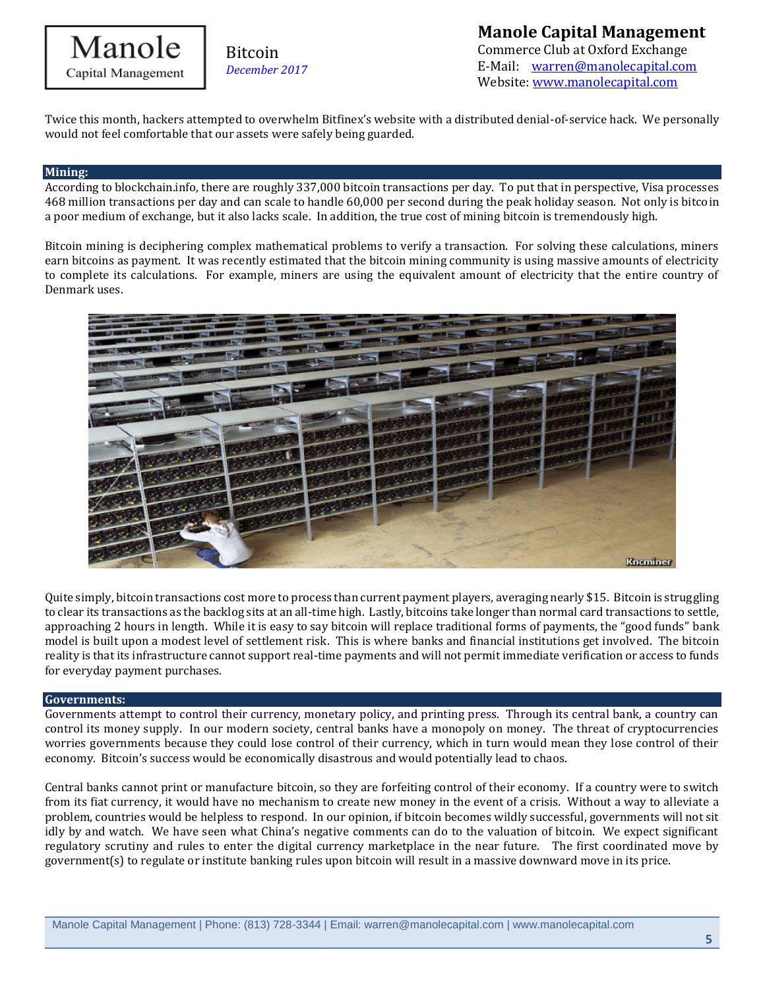

**Manole Capital Management**  Commerce Club at Oxford Exchange E-Mail: [warren@manolecapital.com](mailto:warren@manolecapital.com) Website[: www.manolecapital.com](http://www.manolecapital.com/) 

Twice this month, hackers attempted to overwhelm Bitfinex's website with a distributed denial-of-service hack. We personally would not feel comfortable that our assets were safely being guarded.

#### **Mining:**

According to blockchain.info, there are roughly 337,000 bitcoin transactions per day. To put that in perspective, Visa processes 468 million transactions per day and can scale to handle 60,000 per second during the peak holiday season. Not only is bitcoin a poor medium of exchange, but it also lacks scale. In addition, the true cost of mining bitcoin is tremendously high.

Bitcoin mining is deciphering complex mathematical problems to verify a transaction. For solving these calculations, miners earn bitcoins as payment. It was recently estimated that the bitcoin mining community is using massive amounts of electricity to complete its calculations. For example, miners are using the equivalent amount of electricity that the entire country of Denmark uses.



Quite simply, bitcoin transactions cost more to process than current payment players, averaging nearly \$15. Bitcoin is struggling to clear its transactions as the backlog sits at an all-time high. Lastly, bitcoins take longer than normal card transactions to settle, approaching 2 hours in length. While it is easy to say bitcoin will replace traditional forms of payments, the "good funds" bank model is built upon a modest level of settlement risk. This is where banks and financial institutions get involved. The bitcoin reality is that its infrastructure cannot support real-time payments and will not permit immediate verification or access to funds for everyday payment purchases.

#### **Governments:**

Governments attempt to control their currency, monetary policy, and printing press. Through its central bank, a country can control its money supply. In our modern society, central banks have a monopoly on money. The threat of cryptocurrencies worries governments because they could lose control of their currency, which in turn would mean they lose control of their economy. Bitcoin's success would be economically disastrous and would potentially lead to chaos.

Central banks cannot print or manufacture bitcoin, so they are forfeiting control of their economy. If a country were to switch from its fiat currency, it would have no mechanism to create new money in the event of a crisis. Without a way to alleviate a problem, countries would be helpless to respond. In our opinion, if bitcoin becomes wildly successful, governments will not sit idly by and watch. We have seen what China's negative comments can do to the valuation of bitcoin. We expect significant regulatory scrutiny and rules to enter the digital currency marketplace in the near future. The first coordinated move by government(s) to regulate or institute banking rules upon bitcoin will result in a massive downward move in its price.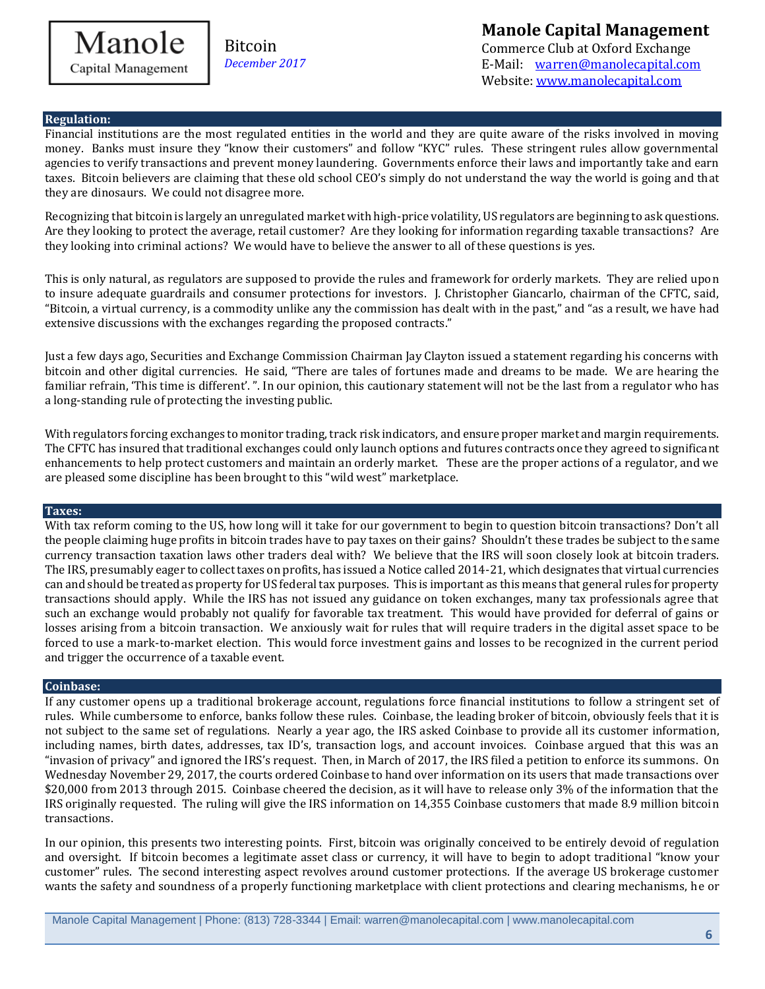

## **Manole Capital Management**

Commerce Club at Oxford Exchange E-Mail: [warren@manolecapital.com](mailto:warren@manolecapital.com) Website[: www.manolecapital.com](http://www.manolecapital.com/) 

#### **Regulation:**

Financial institutions are the most regulated entities in the world and they are quite aware of the risks involved in moving money. Banks must insure they "know their customers" and follow "KYC" rules. These stringent rules allow governmental agencies to verify transactions and prevent money laundering. Governments enforce their laws and importantly take and earn taxes. Bitcoin believers are claiming that these old school CEO's simply do not understand the way the world is going and that they are dinosaurs. We could not disagree more.

Recognizing that bitcoin is largely an unregulated market with high-price volatility, US regulators are beginning to ask questions. Are they looking to protect the average, retail customer? Are they looking for information regarding taxable transactions? Are they looking into criminal actions? We would have to believe the answer to all of these questions is yes.

This is only natural, as regulators are supposed to provide the rules and framework for orderly markets. They are relied upon to insure adequate guardrails and consumer protections for investors. J. Christopher Giancarlo, chairman of the CFTC, said, "Bitcoin, a virtual currency, is a commodity unlike any the commission has dealt with in the past," and "as a result, we have had extensive discussions with the exchanges regarding the proposed contracts."

Just a few days ago, Securities and Exchange Commission Chairman Jay Clayton issued a statement regarding his concerns with bitcoin and other digital currencies. He said, "There are tales of fortunes made and dreams to be made. We are hearing the familiar refrain, 'This time is different'. ". In our opinion, this cautionary statement will not be the last from a regulator who has a long-standing rule of protecting the investing public.

With regulators forcing exchanges to monitor trading, track risk indicators, and ensure proper market and margin requirements. The CFTC has insured that traditional exchanges could only launch options and futures contracts once they agreed to significant enhancements to help protect customers and maintain an orderly market. These are the proper actions of a regulator, and we are pleased some discipline has been brought to this "wild west" marketplace.

#### **Taxes:**

With tax reform coming to the US, how long will it take for our government to begin to question bitcoin transactions? Don't all the people claiming huge profits in bitcoin trades have to pay taxes on their gains? Shouldn't these trades be subject to the same currency transaction taxation laws other traders deal with? We believe that the IRS will soon closely look at bitcoin traders. The IRS, presumably eager to collect taxes on profits, has issued a Notice called 2014-21, which designates that virtual currencies can and should be treated as property for US federal tax purposes. This is important as this means that general rules for property transactions should apply. While the IRS has not issued any guidance on token exchanges, many tax professionals agree that such an exchange would probably not qualify for favorable tax treatment. This would have provided for deferral of gains or losses arising from a bitcoin transaction. We anxiously wait for rules that will require traders in the digital asset space to be forced to use a mark-to-market election. This would force investment gains and losses to be recognized in the current period and trigger the occurrence of a taxable event.

#### **Coinbase:**

If any customer opens up a traditional brokerage account, regulations force financial institutions to follow a stringent set of rules. While cumbersome to enforce, banks follow these rules. Coinbase, the leading broker of bitcoin, obviously feels that it is not subject to the same set of regulations. Nearly a year ago, the IRS asked Coinbase to provide all its customer information, including names, birth dates, addresses, tax ID's, transaction logs, and account invoices. Coinbase argued that this was an "invasion of privacy" and ignored the IRS's request. Then, in March of 2017, the IRS filed a petition to enforce its summons. On Wednesday November 29, 2017, the courts ordered Coinbase to hand over information on its users that made transactions over \$20,000 from 2013 through 2015. Coinbase cheered the decision, as it will have to release only 3% of the information that the IRS originally requested. The ruling will give the IRS information on 14,355 Coinbase customers that made 8.9 million bitcoin transactions.

In our opinion, this presents two interesting points. First, bitcoin was originally conceived to be entirely devoid of regulation and oversight. If bitcoin becomes a legitimate asset class or currency, it will have to begin to adopt traditional "know your customer" rules. The second interesting aspect revolves around customer protections. If the average US brokerage customer wants the safety and soundness of a properly functioning marketplace with client protections and clearing mechanisms, he or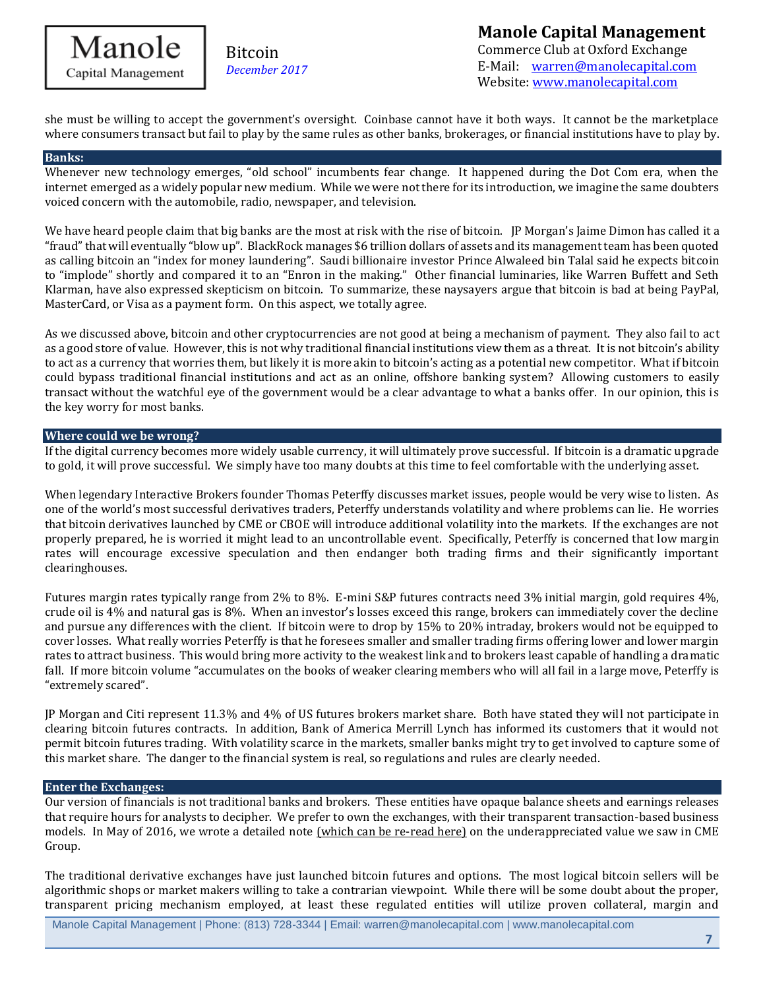## Manole Capital Management

Bitcoin *December 2017*

### **Manole Capital Management**  Commerce Club at Oxford Exchange E-Mail: [warren@manolecapital.com](mailto:warren@manolecapital.com) Website[: www.manolecapital.com](http://www.manolecapital.com/)

she must be willing to accept the government's oversight. Coinbase cannot have it both ways. It cannot be the marketplace where consumers transact but fail to play by the same rules as other banks, brokerages, or financial institutions have to play by.

#### **Banks:**

Whenever new technology emerges, "old school" incumbents fear change. It happened during the Dot Com era, when the internet emerged as a widely popular new medium. While we were not there for its introduction, we imagine the same doubters voiced concern with the automobile, radio, newspaper, and television.

We have heard people claim that big banks are the most at risk with the rise of bitcoin. IP Morgan's Jaime Dimon has called it a "fraud" that will eventually "blow up". BlackRock manages \$6 trillion dollars of assets and its management team has been quoted as calling bitcoin an "index for money laundering". Saudi billionaire investor Prince Alwaleed bin Talal said he expects bitcoin to "implode" shortly and compared it to an "Enron in the making." Other financial luminaries, like Warren Buffett and Seth Klarman, have also expressed skepticism on bitcoin. To summarize, these naysayers argue that bitcoin is bad at being PayPal, MasterCard, or Visa as a payment form. On this aspect, we totally agree.

As we discussed above, bitcoin and other cryptocurrencies are not good at being a mechanism of payment. They also fail to act as a good store of value. However, this is not why traditional financial institutions view them as a threat. It is not bitcoin's ability to act as a currency that worries them, but likely it is more akin to bitcoin's acting as a potential new competitor. What if bitcoin could bypass traditional financial institutions and act as an online, offshore banking system? Allowing customers to easily transact without the watchful eye of the government would be a clear advantage to what a banks offer. In our opinion, this is the key worry for most banks.

#### **Where could we be wrong?**

If the digital currency becomes more widely usable currency, it will ultimately prove successful. If bitcoin is a dramatic upgrade to gold, it will prove successful. We simply have too many doubts at this time to feel comfortable with the underlying asset.

When legendary Interactive Brokers founder Thomas Peterffy discusses market issues, people would be very wise to listen. As one of the world's most successful derivatives traders, Peterffy understands volatility and where problems can lie. He worries that bitcoin derivatives launched by CME or CBOE will introduce additional volatility into the markets. If the exchanges are not properly prepared, he is worried it might lead to an uncontrollable event. Specifically, Peterffy is concerned that low margin rates will encourage excessive speculation and then endanger both trading firms and their significantly important clearinghouses.

Futures margin rates typically range from 2% to 8%. E-mini S&P futures contracts need 3% initial margin, gold requires 4%, crude oil is 4% and natural gas is 8%. When an investor's losses exceed this range, brokers can immediately cover the decline and pursue any differences with the client. If bitcoin were to drop by 15% to 20% intraday, brokers would not be equipped to cover losses. What really worries Peterffy is that he foresees smaller and smaller trading firms offering lower and lower margin rates to attract business. This would bring more activity to the weakest link and to brokers least capable of handling a dramatic fall. If more bitcoin volume "accumulates on the books of weaker clearing members who will all fail in a large move, Peterffy is "extremely scared".

JP Morgan and Citi represent 11.3% and 4% of US futures brokers market share. Both have stated they will not participate in clearing bitcoin futures contracts. In addition, Bank of America Merrill Lynch has informed its customers that it would not permit bitcoin futures trading. With volatility scarce in the markets, smaller banks might try to get involved to capture some of this market share. The danger to the financial system is real, so regulations and rules are clearly needed.

#### **Enter the Exchanges:**

Our version of financials is not traditional banks and brokers. These entities have opaque balance sheets and earnings releases that require hours for analysts to decipher. We prefer to own the exchanges, with their transparent transaction-based business models. In May of 2016, we wrote a detailed note [\(which can be re-read here\)](https://docs.wixstatic.com/ugd/43315f_414eab457c6a497c9fc3ab105a5231f3.pdf) on the underappreciated value we saw in CME Group.

The traditional derivative exchanges have just launched bitcoin futures and options. The most logical bitcoin sellers will be algorithmic shops or market makers willing to take a contrarian viewpoint. While there will be some doubt about the proper, transparent pricing mechanism employed, at least these regulated entities will utilize proven collateral, margin and

Manole Capital Management | Phone: (813) 728-3344 | Email: warren@manolecapital.com | www.manolecapital.com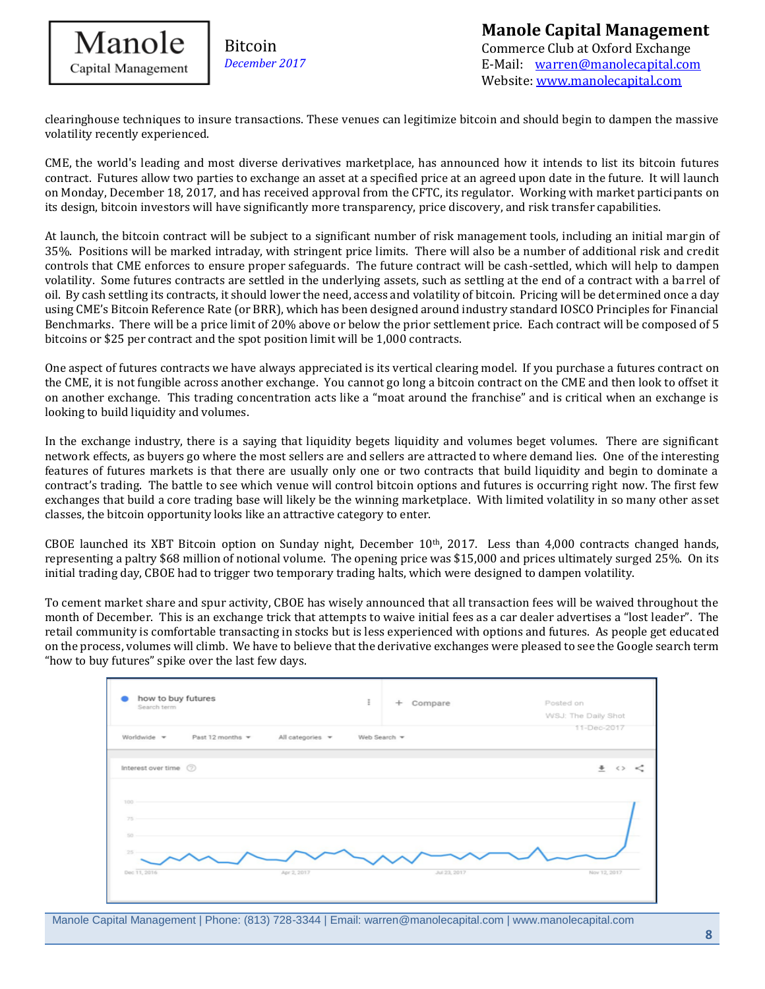

clearinghouse techniques to insure transactions. These venues can legitimize bitcoin and should begin to dampen the massive volatility recently experienced.

CME, the world's leading and most diverse derivatives marketplace, has announced how it intends to list its bitcoin futures contract. Futures allow two parties to exchange an asset at a specified price at an agreed upon date in the future. It will launch on Monday, December 18, 2017, and has received approval from the CFTC, its regulator. Working with market participants on its design, bitcoin investors will have significantly more transparency, price discovery, and risk transfer capabilities.

At launch, the bitcoin contract will be subject to a significant number of risk management tools, including an initial margin of 35%. Positions will be marked intraday, with stringent price limits. There will also be a number of additional risk and credit controls that CME enforces to ensure proper safeguards. The future contract will be cash-settled, which will help to dampen volatility. Some futures contracts are settled in the underlying assets, such as settling at the end of a contract with a barrel of oil. By cash settling its contracts, it should lower the need, access and volatility of bitcoin. Pricing will be determined once a day using CME's Bitcoin Reference Rate (or BRR), which has been designed around industry standard IOSCO Principles for Financial Benchmarks. There will be a price limit of 20% above or below the prior settlement price. Each contract will be composed of 5 bitcoins or \$25 per contract and the spot position limit will be 1,000 contracts.

One aspect of futures contracts we have always appreciated is its vertical clearing model. If you purchase a futures contract on the CME, it is not fungible across another exchange. You cannot go long a bitcoin contract on the CME and then look to offset it on another exchange. This trading concentration acts like a "moat around the franchise" and is critical when an exchange is looking to build liquidity and volumes.

In the exchange industry, there is a saying that liquidity begets liquidity and volumes beget volumes. There are significant network effects, as buyers go where the most sellers are and sellers are attracted to where demand lies. One of the interesting features of futures markets is that there are usually only one or two contracts that build liquidity and begin to dominate a contract's trading. The battle to see which venue will control bitcoin options and futures is occurring right now. The first few exchanges that build a core trading base will likely be the winning marketplace. With limited volatility in so many other asset classes, the bitcoin opportunity looks like an attractive category to enter.

CBOE launched its XBT Bitcoin option on Sunday night, December  $10<sup>th</sup>$ , 2017. Less than 4,000 contracts changed hands, representing a paltry \$68 million of notional volume. The opening price was \$15,000 and prices ultimately surged 25%. On its initial trading day, CBOE had to trigger two temporary trading halts, which were designed to dampen volatility.

To cement market share and spur activity, CBOE has wisely announced that all transaction fees will be waived throughout the month of December. This is an exchange trick that attempts to waive initial fees as a car dealer advertises a "lost leader". The retail community is comfortable transacting in stocks but is less experienced with options and futures. As people get educated on the process, volumes will climb. We have to believe that the derivative exchanges were pleased to see the Google search term "how to buy futures" spike over the last few days.



Manole Capital Management | Phone: (813) 728-3344 | Email: warren@manolecapital.com | www.manolecapital.com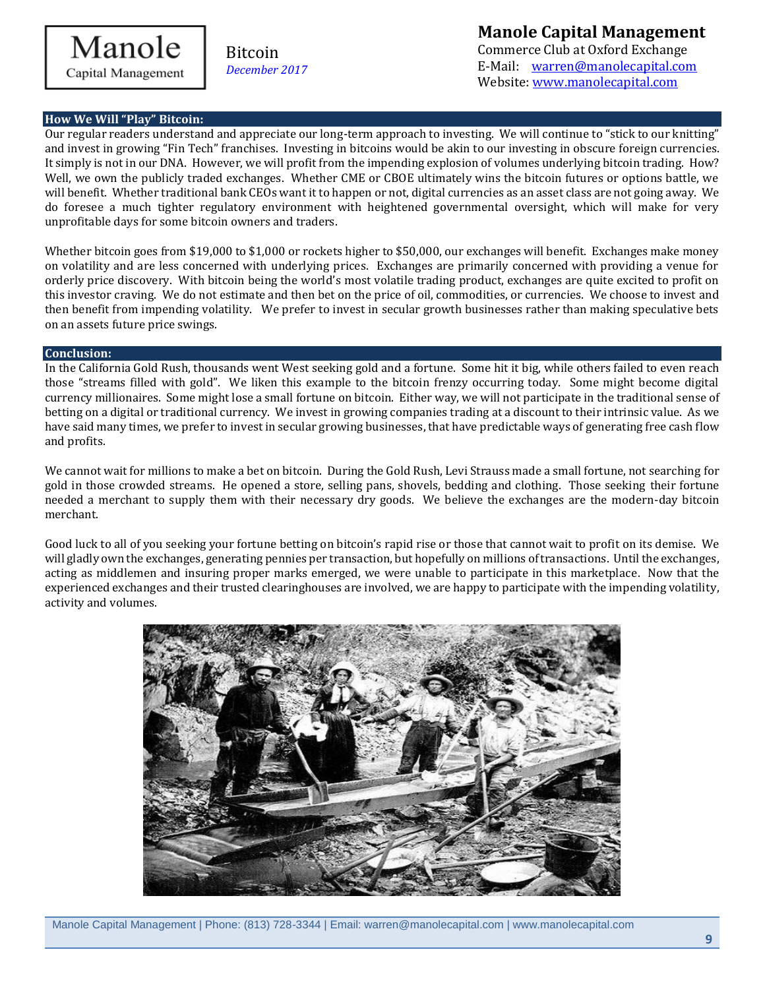

**Manole Capital Management** 

Commerce Club at Oxford Exchange E-Mail: [warren@manolecapital.com](mailto:warren@manolecapital.com) Website[: www.manolecapital.com](http://www.manolecapital.com/) 

#### **How We Will "Play" Bitcoin:**

Our regular readers understand and appreciate our long-term approach to investing. We will continue to "stick to our knitting" and invest in growing "Fin Tech" franchises. Investing in bitcoins would be akin to our investing in obscure foreign currencies. It simply is not in our DNA. However, we will profit from the impending explosion of volumes underlying bitcoin trading. How? Well, we own the publicly traded exchanges. Whether CME or CBOE ultimately wins the bitcoin futures or options battle, we will benefit. Whether traditional bank CEOs want it to happen or not, digital currencies as an asset class are not going away. We do foresee a much tighter regulatory environment with heightened governmental oversight, which will make for very unprofitable days for some bitcoin owners and traders.

Whether bitcoin goes from \$19,000 to \$1,000 or rockets higher to \$50,000, our exchanges will benefit. Exchanges make money on volatility and are less concerned with underlying prices. Exchanges are primarily concerned with providing a venue for orderly price discovery. With bitcoin being the world's most volatile trading product, exchanges are quite excited to profit on this investor craving. We do not estimate and then bet on the price of oil, commodities, or currencies. We choose to invest and then benefit from impending volatility. We prefer to invest in secular growth businesses rather than making speculative bets on an assets future price swings.

#### **Conclusion:**

In the California Gold Rush, thousands went West seeking gold and a fortune. Some hit it big, while others failed to even reach those "streams filled with gold". We liken this example to the bitcoin frenzy occurring today. Some might become digital currency millionaires. Some might lose a small fortune on bitcoin. Either way, we will not participate in the traditional sense of betting on a digital or traditional currency. We invest in growing companies trading at a discount to their intrinsic value. As we have said many times, we prefer to invest in secular growing businesses, that have predictable ways of generating free cash flow and profits.

We cannot wait for millions to make a bet on bitcoin. During the Gold Rush, Levi Strauss made a small fortune, not searching for gold in those crowded streams. He opened a store, selling pans, shovels, bedding and clothing. Those seeking their fortune needed a merchant to supply them with their necessary dry goods. We believe the exchanges are the modern-day bitcoin merchant.

Good luck to all of you seeking your fortune betting on bitcoin's rapid rise or those that cannot wait to profit on its demise. We will gladly own the exchanges, generating pennies per transaction, but hopefully on millions of transactions. Until the exchanges, acting as middlemen and insuring proper marks emerged, we were unable to participate in this marketplace. Now that the experienced exchanges and their trusted clearinghouses are involved, we are happy to participate with the impending volatility, activity and volumes.